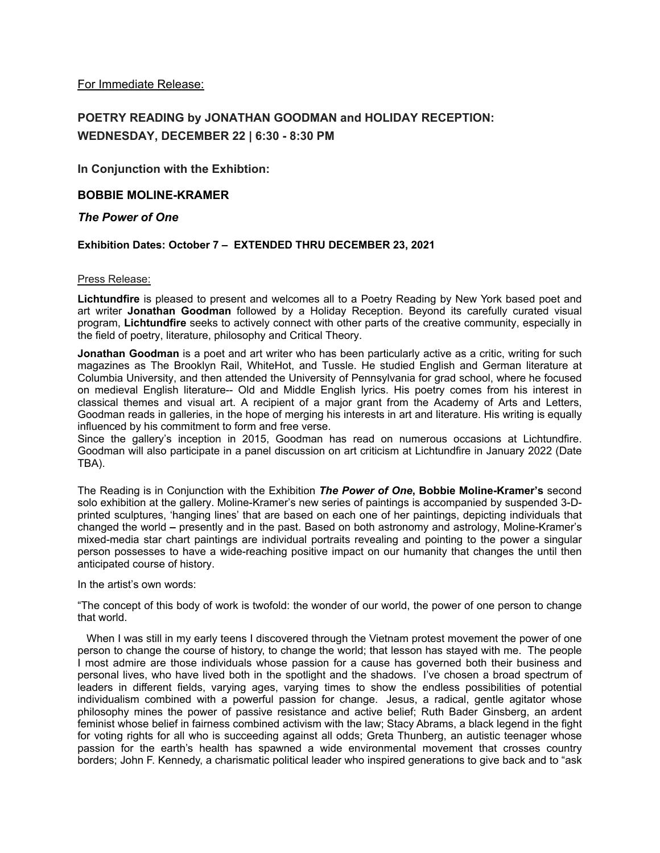For Immediate Release:

# **POETRY READING by JONATHAN GOODMAN and HOLIDAY RECEPTION: WEDNESDAY, DECEMBER 22 | 6:30 - 8:30 PM**

**In Conjunction with the Exhibtion:**

# **BOBBIE MOLINE-KRAMER**

# *The Power of One*

# **Exhibition Dates: October 7 – EXTENDED THRU DECEMBER 23, 2021**

## Press Release:

**Lichtundfire** is pleased to present and welcomes all to a Poetry Reading by New York based poet and art writer **Jonathan Goodman** followed by a Holiday Reception. Beyond its carefully curated visual program, **Lichtundfire** seeks to actively connect with other parts of the creative community, especially in the field of poetry, literature, philosophy and Critical Theory.

**Jonathan Goodman** is a poet and art writer who has been particularly active as a critic, writing for such magazines as The Brooklyn Rail, WhiteHot, and Tussle. He studied English and German literature at Columbia University, and then attended the University of Pennsylvania for grad school, where he focused on medieval English literature-- Old and Middle English lyrics. His poetry comes from his interest in classical themes and visual art. A recipient of a major grant from the Academy of Arts and Letters, Goodman reads in galleries, in the hope of merging his interests in art and literature. His writing is equally influenced by his commitment to form and free verse.

Since the gallery's inception in 2015, Goodman has read on numerous occasions at Lichtundfire. Goodman will also participate in a panel discussion on art criticism at Lichtundfire in January 2022 (Date TBA).

The Reading is in Conjunction with the Exhibition *The Power of One***, Bobbie Moline-Kramer's** second solo exhibition at the gallery. Moline-Kramer's new series of paintings is accompanied by suspended 3-Dprinted sculptures, 'hanging lines' that are based on each one of her paintings, depicting individuals that changed the world **–** presently and in the past. Based on both astronomy and astrology, Moline-Kramer's mixed-media star chart paintings are individual portraits revealing and pointing to the power a singular person possesses to have a wide-reaching positive impact on our humanity that changes the until then anticipated course of history.

## In the artist's own words:

"The concept of this body of work is twofold: the wonder of our world, the power of one person to change that world.

When I was still in my early teens I discovered through the Vietnam protest movement the power of one person to change the course of history, to change the world; that lesson has stayed with me. The people I most admire are those individuals whose passion for a cause has governed both their business and personal lives, who have lived both in the spotlight and the shadows. I've chosen a broad spectrum of leaders in different fields, varying ages, varying times to show the endless possibilities of potential individualism combined with a powerful passion for change. Jesus, a radical, gentle agitator whose philosophy mines the power of passive resistance and active belief; Ruth Bader Ginsberg, an ardent feminist whose belief in fairness combined activism with the law; Stacy Abrams, a black legend in the fight for voting rights for all who is succeeding against all odds; Greta Thunberg, an autistic teenager whose passion for the earth's health has spawned a wide environmental movement that crosses country borders; John F. Kennedy, a charismatic political leader who inspired generations to give back and to "ask